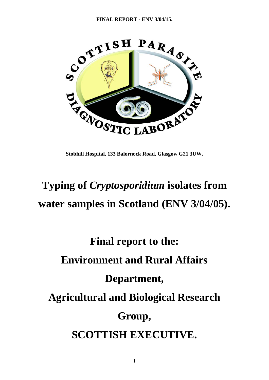

**Stobhill Hospital, 133 Balornock Road, Glasgow G21 3UW.**

## **Typing of** *Cryptosporidium* **isolates from water samples in Scotland (ENV 3/04/05).**

# **Final report to the: Environment and Rural Affairs Department, Agricultural and Biological Research Group, SCOTTISH EXECUTIVE.**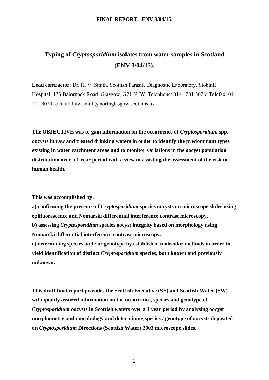## **Typing of** *Cryptosporidium* **isolates from water samples in Scotland (ENV 3/04/15).**

**Lead contractor**: Dr. H. V. Smith, Scottish Parasite Diagnostic Laboratory, Stobhill Hospital, 133 Balornock Road, Glasgow, G21 3UW. Telephone: 0141 201 3028; Telefax: 041 201 3029; e-mail: huw.smith@northglasgow.scot.nhs.uk

**The OBJECTIVE was to gain information on the occurrence of** *Cryptosporidium* **spp. oocysts in raw and treated drinking waters in order to identify the predominant types existing in water catchment areas and to monitor variations in the oocyst population distribution over a 1 year period with a view to assisting the assessment of the risk to human health.** 

**This was accomplished by:** 

**a) confirming the presence of** *Cryptosporidium* **species oocysts on microscope slides using epifluorescence and Nomarski differential interference contrast microscopy.** 

**b) assessing** *Cryptosporidium* **species oocyst integrity based on morphology using Nomarski differential interference contrast microscopy.** 

**c) determining species and / or genotype by established molecular methods in order to yield identification of distinct** *Cryptosporidium* **species, both known and previously unknown.** 

**This draft final report provides the Scottish Executive (SE) and Scottish Water (SW) with quality assured information on the occurrence, species and genotype of**  *Cryptosporidium* **oocysts in Scottish waters over a 1 year period by analysing oocyst morphometry and morphology and determining species / genotype of oocysts deposited on** *Cryptosporidium* **Directions (Scottish Water) 2003 microscope slides.**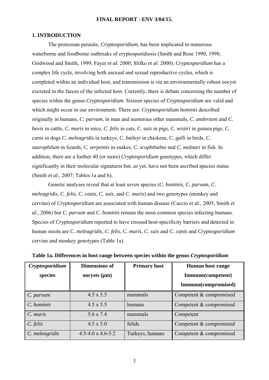## **1. INTRODUCTION**

 The protozoan parasite, *Cryptosporidium*, has been implicated in numerous waterborne and foodborne outbreaks of cryptosporidiosis (Smith and Rose 1990, 1998; Girdwood and Smith, 1999; Fayer *et al*. 2000; Slifko *et al*. 2000). *Cryptosporidium* has a complex life cycle, involving both asexual and sexual reproductive cycles, which is completed within an individual host, and transmission is *via* an environmentally robust oocyst excreted in the faeces of the infected host. Currently, there is debate concerning the number of species within the genus *Cryptosporidium*. Sixteen species of *Cryptosporidium* are valid and which might occur in our environment. There are: *Cryptosporidium hominis* described originally in humans, *C. parvum*, in man and numerous other mammals, *C. andersoni* and *C. bovis* in cattle, *C. muris* in mice, *C. felis* in cats, *C. suis* in pigs, *C. wrairi* in guinea pigs, *C. canis* in dogs *C. meleagridis* in turkeys, *C. baileyi* in chickens, *C. galli* in birds, *C. saurophilum* in lizards, *C. serpentis* in snakes, *C. scophthalmi* and *C. molnari* in fish. In addition, there are a further 40 (or more) *Cryptosporidium* genotypes, which differ significantly in their molecular signatures but, as yet, have not been ascribed species status (Smith *et al*., 2007; Tables 1a and b).

 Genetic analyses reveal that at least seven species (*C. hominis*, *C. parvum*, *C. meleagridis*, *C. felis*, *C. canis*, *C. suis*, and *C. muris*) and two genotypes (monkey and cervine) of *Cryptosporidium* are associated with human disease (Caccio *et al*., 2005, Smith *et al*., 2006) but *C. parvum* and *C. hominis* remain the most common species infecting humans. Species of *Cryptosporidium* reported to have crossed host-specificity barriers and detected in human stools are *C. meleagridis*, *C. felis*, *C. muris*, *C. suis* and *C. canis* and *Cryptosporidium* cervine and monkey genotypes (Table 1a).

| Cryptosporidium | <b>Dimensions of</b>         | <b>Primary host</b> | Human host range        |
|-----------------|------------------------------|---------------------|-------------------------|
| species         | $000ysts$ ( $\mu$ m)         |                     | Immuno(competent)       |
|                 |                              |                     | Immuno(compromised)     |
| C. parvum       | $4.5 \times 5.5$             | mammals             | Competent & compromised |
| C. hominis      | $4.5 \times 5.5$             | humans              | Competent & compromised |
| C. muris        | 5.6 x 7.4                    | mammals             | Competent               |
| C. felis        | $4.5 \times 5.0$             | felids              | Competent & compromised |
| C. meleagridis  | $4.5 - 4.0 \times 4.6 - 5.2$ | Turkeys, humans     | Competent & compromised |

**Table 1a. Differences in host range between species within the genus** *Cryptosporidium*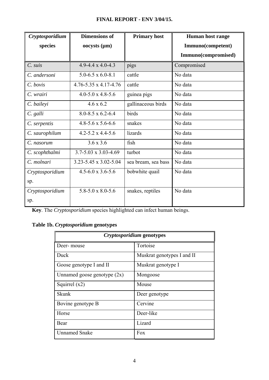| Cryptosporidium | <b>Dimensions of</b>             | <b>Primary host</b> | <b>Human host range</b> |
|-----------------|----------------------------------|---------------------|-------------------------|
| species         | $000ysts$ ( $\mu$ m)             |                     | Immuno(competent)       |
|                 |                                  |                     | Immuno(compromised)     |
| C. suis         | $4.9 - 4.4 \times 4.0 - 4.3$     | pigs                | Compromised             |
| C. andersoni    | $5.0 - 6.5 \times 6.0 - 8.1$     | cattle              | No data                 |
| C. bovis        | $4.76 - 5.35 \times 4.17 - 4.76$ | cattle              | No data                 |
| C. wrairi       | $4.0 - 5.0 \times 4.8 - 5.6$     | guinea pigs         | No data                 |
| C. baileyi      | $4.6 \times 6.2$                 | gallinaceous birds  | No data                 |
| C. galli        | $8.0 - 8.5 \times 6.2 - 6.4$     | birds               | No data                 |
| C. serpentis    | $4.8 - 5.6 \times 5.6 - 6.6$     | snakes              | No data                 |
| C. saurophilum  | $4.2 - 5.2 \times 4.4 - 5.6$     | lizards             | No data                 |
| C. nasorum      | $3.6 \times 3.6$                 | fish                | No data                 |
| C. scophthalmi  | $3.7 - 5.03 \times 3.03 - 4.69$  | turbot              | No data                 |
| C. molnari      | 3.23-5.45 x 3.02-5.04            | sea bream, sea bass | No data                 |
| Cryptosporidium | $4.5 - 6.0 \times 3.6 - 5.6$     | bobwhite quail      | No data                 |
| sp.             |                                  |                     |                         |
| Cryptosporidium | $5.8 - 5.0 \times 8.0 - 5.6$     | snakes, reptiles    | No data                 |
| sp.             |                                  |                     |                         |

**Key**. The *Cryptosporidium* species highlighted can infect human beings.

## **Table 1b.** *Cryptosporidium* **genotypes**

| Cryptosporidium genotypes     |                            |  |  |
|-------------------------------|----------------------------|--|--|
| Deer- mouse                   | Tortoise                   |  |  |
| Duck                          | Muskrat genotypes I and II |  |  |
| Goose genotype I and II       | Muskrat genotype I         |  |  |
| Unnamed goose genotype $(2x)$ | Mongoose                   |  |  |
| Squirrel $(x2)$               | Mouse                      |  |  |
| <b>Skunk</b>                  | Deer genotype              |  |  |
| Bovine genotype B             | Cervine                    |  |  |
| Horse                         | Deer-like                  |  |  |
| Bear                          | Lizard                     |  |  |
| <b>Unnamed Snake</b>          | Fox                        |  |  |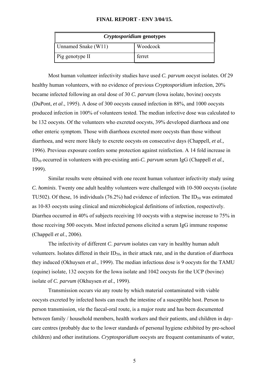| Cryptosporidium genotypes       |        |  |  |
|---------------------------------|--------|--|--|
| Unnamed Snake (W11)<br>Woodcock |        |  |  |
| Pig genotype II                 | ferret |  |  |

 Most human volunteer infectivity studies have used *C. parvum* oocyst isolates. Of 29 healthy human volunteers, with no evidence of previous *Cryptosporidium* infection, 20% became infected following an oral dose of 30 *C. parvum* (Iowa isolate, bovine) oocysts (DuPont, *et al*., 1995). A dose of 300 oocysts caused infection in 88%, and 1000 oocysts produced infection in 100% of volunteers tested. The median infective dose was calculated to be 132 oocysts. Of the volunteers who excreted oocysts, 39% developed diarrhoea and one other enteric symptom. Those with diarrhoea excreted more oocysts than those without diarrhoea, and were more likely to excrete oocysts on consecutive days (Chappell, *et al.,* 1996). Previous exposure confers some protection against reinfection. A 14 fold increase in ID50 occurred in volunteers with pre-existing anti-*C. parvum* serum IgG (Chappell *et al.,* 1999).

 Similar results were obtained with one recent human volunteer infectivity study using *C. hominis*. Twenty one adult healthy volunteers were challenged with 10-500 oocysts (isolate TU502). Of these, 16 individuals (76.2%) had evidence of infection. The  $ID_{50}$  was estimated as 10-83 oocysts using clinical and microbiological definitions of infection, respectively. Diarrhea occurred in 40% of subjects receiving 10 oocysts with a stepwise increase to 75% in those receiving 500 oocysts. Most infected persons elicited a serum IgG immune response (Chappell *et al*., 2006).

 The infectivity of different *C*. *parvum* isolates can vary in healthy human adult volunteers. Isolates differed in their  $ID_{50}$ , in their attack rate, and in the duration of diarrhoea they induced (Okhuysen *et al*., 1999). The median infectious dose is 9 oocysts for the TAMU (equine) isolate, 132 oocysts for the Iowa isolate and 1042 oocysts for the UCP (bovine) isolate of *C. parvum* (Okhuysen *et al*., 1999).

 Transmission occurs *via* any route by which material contaminated with viable oocysts excreted by infected hosts can reach the intestine of a susceptible host. Person to person transmission, *via* the faecal-oral route, is a major route and has been documented between family / household members, health workers and their patients, and children in daycare centres (probably due to the lower standards of personal hygiene exhibited by pre-school children) and other institutions. *Cryptosporidium* oocysts are frequent contaminants of water,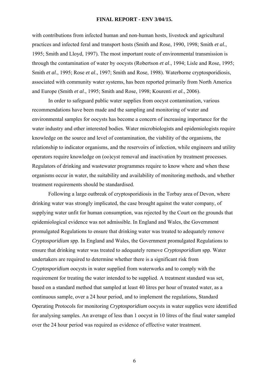with contributions from infected human and non-human hosts, livestock and agricultural practices and infected feral and transport hosts (Smith and Rose, 1990, 1998; Smith *et al.*, 1995; Smith and Lloyd, 1997). The most important route of environmental transmission is through the contamination of water by oocysts (Robertson *et al*., 1994; Lisle and Rose, 1995; Smith *et al*., 1995; Rose *et al*., 1997; Smith and Rose, 1998). Waterborne cryptosporidiosis, associated with community water systems, has been reported primarily from North America and Europe (Smith *et al*., 1995; Smith and Rose, 1998; Kourenti *et al*., 2006).

 In order to safeguard public water supplies from oocyst contamination, various recommendations have been made and the sampling and monitoring of water and environmental samples for oocysts has become a concern of increasing importance for the water industry and other interested bodies. Water microbiologists and epidemiologists require knowledge on the source and level of contamination, the viability of the organisms, the relationship to indicator organisms, and the reservoirs of infection, while engineers and utility operators require knowledge on (oo)cyst removal and inactivation by treatment processes. Regulators of drinking and wastewater programmes require to know where and when these organisms occur in water, the suitability and availability of monitoring methods, and whether treatment requirements should be standardised.

 Following a large outbreak of cryptosporidiosis in the Torbay area of Devon, where drinking water was strongly implicated, the case brought against the water company, of supplying water unfit for human consumption, was rejected by the Court on the grounds that epidemiological evidence was not admissible. In England and Wales, the Government promulgated Regulations to ensure that drinking water was treated to adequately remove *Cryptosporidium* spp. In England and Wales, the Government promulgated Regulations to ensure that drinking water was treated to adequately remove *Cryptosporidium* spp. Water undertakers are required to determine whether there is a significant risk from *Cryptosporidium* oocysts in water supplied from waterworks and to comply with the requirement for treating the water intended to be supplied. A treatment standard was set, based on a standard method that sampled at least 40 litres per hour of treated water, as a continuous sample, over a 24 hour period, and to implement the regulations, Standard Operating Protocols for monitoring *Cryptosporidium* oocysts in water supplies were identified for analysing samples. An average of less than 1 oocyst in 10 litres of the final water sampled over the 24 hour period was required as evidence of effective water treatment.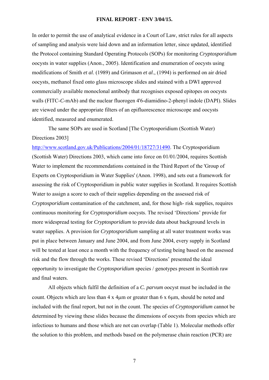In order to permit the use of analytical evidence in a Court of Law, strict rules for all aspects of sampling and analysis were laid down and an information letter, since updated, identified the Protocol containing Standard Operating Protocols (SOPs) for monitoring *Cryptosporidium* oocysts in water supplies (Anon., 2005). Identification and enumeration of oocysts using modifications of Smith *et al*. (1989) and Grimason *et al*., (1994) is performed on air dried oocysts, methanol fixed onto glass microscope slides and stained with a DWI approved commercially available monoclonal antibody that recognises exposed epitopes on oocysts walls (FITC-*C*-mAb) and the nuclear fluorogen 4'6-diamidino-2-phenyl indole (DAPI). Slides are viewed under the appropriate filters of an epifluorescence microscope and oocysts identified, measured and enumerated.

 The same SOPs are used in Scotland [The Cryptosporidium (Scottish Water) Directions 2003]

[http://www.scotland.gov.uk/Publications/2004/01/18727/31490.](http://www.scotland.gov.uk/Publications/2004/01/18727/31490) The Cryptosporidium (Scottish Water) Directions 2003, which came into force on 01/01/2004, requires Scottish Water to implement the recommendations contained in the Third Report of the 'Group of Experts on Cryptosporidium in Water Supplies' (Anon. 1998), and sets out a framework for assessing the risk of Cryptosporidium in public water supplies in Scotland. It requires Scottish Water to assign a score to each of their supplies depending on the assessed risk of *Cryptosporidium* contamination of the catchment, and, for those high- risk supplies, requires continuous monitoring for *Cryptosporidium* oocysts. The revised 'Directions' provide for more widespread testing for *Cryptosporidium* to provide data about background levels in water supplies. A provision for *Cryptosporidium* sampling at all water treatment works was put in place between January and June 2004, and from June 2004, every supply in Scotland will be tested at least once a month with the frequency of testing being based on the assessed risk and the flow through the works. These revised 'Directions' presented the ideal opportunity to investigate the *Cryptosporidium* species / genotypes present in Scottish raw and final waters.

 All objects which fulfil the definition of a *C. parvum* oocyst must be included in the count. Objects which are less than 4 x 4μm or greater than 6 x 6μm, should be noted and included with the final report, but not in the count. The species of *Cryptosporidium* cannot be determined by viewing these slides because the dimensions of oocysts from species which are infectious to humans and those which are not can overlap (Table 1). Molecular methods offer the solution to this problem, and methods based on the polymerase chain reaction (PCR) are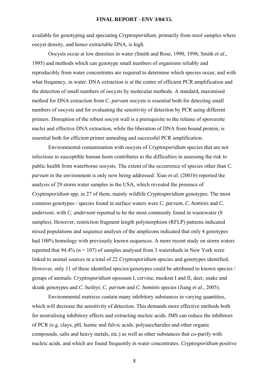available for genotyping and speciating *Cryptosporidium*, primarily from stool samples where oocyst density, and hence extractable DNA, is high.

 Oocysts occur at low densities in water (Smith and Rose, 1990, 1998; Smith *et al*., 1995) and methods which can genotype small numbers of organisms reliably and reproducibly from water concentrates are required to determine which species occur, and with what frequency, in water. DNA extraction is at the centre of efficient PCR amplification and the detection of small numbers of oocysts by molecular methods. A standard, maximised method for DNA extraction from *C. parvum* oocysts is essential both for detecting small numbers of oocysts and for evaluating the sensitivity of detection by PCR using different primers. Disruption of the robust oocyst wall is a prerequisite to the release of sporozoite nuclei and effective DNA extraction, while the liberation of DNA from bound protein, is essential both for efficient primer annealing and successful PCR amplification.

 Environmental contamination with oocysts of *Cryptosporidium* species that are not infectious to susceptible human hosts contributes to the difficulties in assessing the risk to public health from waterborne oocysts. The extent of the occurrence of species other than *C. parvum* in the environment is only now being addressed. Xiao *et al.* (2001b) reported the analysis of 29 storm water samples in the USA, which revealed the presence of *Cryptosporidium* spp. in 27 of them, mainly wildlife *Cryptosporidium* genotypes. The most common genotypes / species found in surface waters were *C. parvum*, *C. hominis* and *C. andersoni*, with *C. andersoni* reported to be the most commonly found in wastewater (8 samples). However, restriction fragment length polymorphism (RFLP) patterns indicated mixed populations and sequence analysis of the amplicons indicated that only 4 genotypes had 100% homology with previously known sequences. A more recent study on storm waters reported that 94.4% ( $n = 107$ ) of samples analysed from 3 watersheds in New York were linked to animal sources in a total of 22 *Cryptosporidium* species and genotypes identified. However, only 11 of these identified species/genotypes could be attributed to known species / groups of animals: *Cryptosporidium* opossum I, cervine, muskrat I and II, deer, snake and skunk genotypes and *C. baileyi*, *C. parvum* and *C. hominis* species (Jiang *et al*., 2005).

 Environmental matrices contain many inhibitory substances in varying quantities, which will decrease the sensitivity of detection. This demands more effective methods both for neutralising inhibitory effects and extracting nucleic acids. IMS can reduce the inhibitors of PCR (e.g. clays, pH, humic and fulvic acids, polysaccharides and other organic compounds, salts and heavy metals, etc.) as well as other substances that co-purify with nucleic acids, and which are found frequently in water concentrates. *Cryptosporidium* positive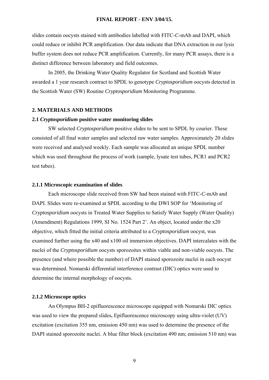slides contain oocysts stained with antibodies labelled with FITC-*C*-mAb and DAPI, which could reduce or inhibit PCR amplification. Our data indicate that DNA extraction in our lysis buffer system does not reduce PCR amplification. Currently, for many PCR assays, there is a distinct difference between laboratory and field outcomes.

 In 2005, the Drinking Water Quality Regulator for Scotland and Scottish Water awarded a 1 year research contract to SPDL to genotype *Cryptosporidium* oocysts detected in the Scottish Water (SW) Routine *Cryptosporidium* Monitoring Programme.

## **2. MATERIALS AND METHODS**

## **2.1** *Cryptosporidium* **positive water monitoring slides**

 SW selected *Cryptosporidium* positive slides to be sent to SPDL by courier. These consisted of all final water samples and selected raw water samples. Approximately 20 slides were received and analysed weekly. Each sample was allocated an unique SPDL number which was used throughout the process of work (sample, lysate test tubes, PCR1 and PCR2 test tubes).

## **2.1.1 Microscopic examination of slides**

 Each microscope slide received from SW had been stained with FITC-*C*-mAb and DAPI. Slides were re-examined at SPDL according to the DWI SOP for 'Monitoring of *Cryptosporidium* oocysts in Treated Water Supplies to Satisfy Water Supply (Water Quality) (Amendment) Regulations 1999, SI No. 1524 Part 2'. An object, located under the x20 objective, which fitted the initial criteria attributed to a *Cryptosporidium* oocyst, was examined further using the x40 and x100 oil immersion objectives. DAPI intercalates with the nuclei of the *Cryptosporidium* oocysts sporozoites within viable and non-viable oocysts. The presence (and where possible the number) of DAPI stained sporozoite nuclei in each oocyst was determined. Nomarski differential interference contrast (DIC) optics were used to determine the internal morphology of oocysts.

#### **2.1.2 Microscope optics**

 An Olympus BH-2 epifluorescence microscope equipped with Nomarski DIC optics was used to view the prepared slides**.** Epifluorescence microscopy using ultra-violet (UV) excitation (excitation 355 nm, emission 450 nm) was used to determine the presence of the DAPI stained sporozoite nuclei. A blue filter block (excitation 490 nm; emission 510 nm) was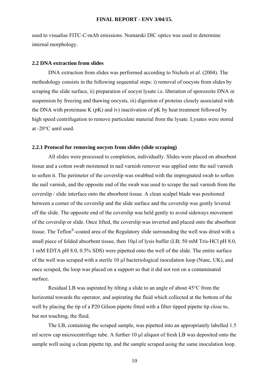used to visualise FITC-*C*-mAb emissions. Nomarski DIC optics was used to determine internal morphology.

## **2.2 DNA extraction from slides**

 DNA extraction from slides was performed according to Nichols *et al*. (2004). The methodology consists in the following sequential steps: i) removal of oocysts from slides by scraping the slide surface, ii) preparation of oocyst lysate i.e. liberation of sporozoite DNA in suspension by freezing and thawing oocysts, iii) digestion of proteins closely associated with the DNA with proteinase K (pK) and iv) inactivation of pK by heat treatment followed by high speed centrifugation to remove particulate material from the lysate. Lysates were stored at -20°C until used.

## **2.2.1 Protocol for removing oocysts from slides (slide scraping)**

 All slides were processed to completion, individually. Slides were placed on absorbent tissue and a cotton swab moistened in nail varnish remover was applied onto the nail varnish to soften it. The perimeter of the coverslip was swabbed with the impregnated swab to soften the nail varnish, and the opposite end of the swab was used to scrape the nail varnish from the coverslip / slide interface onto the absorbent tissue. A clean scalpel blade was positioned between a corner of the coverslip and the slide surface and the coverslip was gently levered off the slide. The opposite end of the coverslip was held gently to avoid sideways movement of the coverslip or slide. Once lifted, the coverslip was inverted and placed onto the absorbent tissue. The Teflon®-coated area of the Regulatory slide surrounding the well was dried with a small piece of folded absorbent tissue, then 10ul of lysis buffer (LB; 50 mM Tris-HCl pH 8.0, 1 mM EDTA pH 8.0, 0.5% SDS) were pipetted onto the well of the slide. The entire surface of the well was scraped with a sterile 10 µl bacteriological inoculation loop (Nunc, UK), and once scraped, the loop was placed on a support so that it did not rest on a contaminated surface.

 Residual LB was aspirated by tilting a slide to an angle of about 45°C from the horizontal towards the operator, and aspirating the fluid which collected at the bottom of the well by placing the tip of a P20 Gilson pipette fitted with a filter tipped pipette tip close to, but not touching, the fluid.

 The LB, containing the scraped sample, was pipetted into an appropriately labelled 1.5 ml screw cap microcentrifuge tube. A further 10 µl aliquot of fresh LB was deposited onto the sample well using a clean pipette tip, and the sample scraped using the same inoculation loop.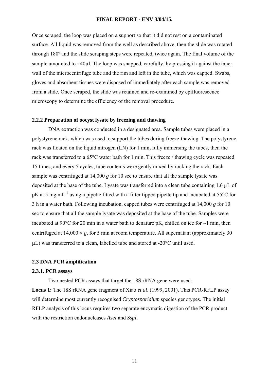Once scraped, the loop was placed on a support so that it did not rest on a contaminated surface. All liquid was removed from the well as described above, then the slide was rotated through 180º and the slide scraping steps were repeated, twice again. The final volume of the sample amounted to ∼40µl. The loop was snapped, carefully, by pressing it against the inner wall of the microcentrifuge tube and the rim and left in the tube, which was capped. Swabs, gloves and absorbent tissues were disposed of immediately after each sample was removed from a slide. Once scraped, the slide was retained and re-examined by epifluorescence microscopy to determine the efficiency of the removal procedure.

## **2.2.2 Preparation of oocyst lysate by freezing and thawing**

 DNA extraction was conducted in a designated area. Sample tubes were placed in a polystyrene rack, which was used to support the tubes during freeze-thawing. The polystyrene rack was floated on the liquid nitrogen (LN) for 1 min, fully immersing the tubes, then the rack was transferred to a 65°C water bath for 1 min. This freeze / thawing cycle was repeated 15 times, and every 5 cycles, tube contents were gently mixed by rocking the rack. Each sample was centrifuged at 14,000 *g* for 10 sec to ensure that all the sample lysate was deposited at the base of the tube. Lysate was transferred into a clean tube containing 1.6 µL of pK at 5 mg mL-1 using a pipette fitted with a filter tipped pipette tip and incubated at 55°C for 3 h in a water bath. Following incubation, capped tubes were centrifuged at 14,000 *g* for 10 sec to ensure that all the sample lysate was deposited at the base of the tube. Samples were incubated at 90°C for 20 min in a water bath to denature pK, chilled on ice for ∼1 min, then centrifuged at  $14,000 \times g$ , for 5 min at room temperature. All supernatant (approximately 30) μL) was transferred to a clean, labelled tube and stored at -20°C until used.

## **2.3 DNA PCR amplification**

## **2.3.1. PCR assays**

Two nested PCR assays that target the 18S rRNA gene were used:

**Locus 1:** The 18S rRNA gene fragment of Xiao *et al*. (1999, 2001). This PCR-RFLP assay will determine most currently recognised *Cryptosporidium* species genotypes. The initial RFLP analysis of this locus requires two separate enzymatic digestion of the PCR product with the restriction endonucleases *AseI* and *SspI*.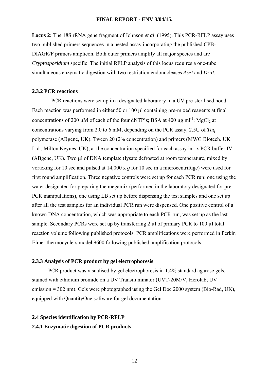**Locus 2:** The 18S rRNA gene fragment of Johnson *et al*. (1995). This PCR-RFLP assay uses two published primers sequences in a nested assay incorporating the published CPB-DIAGR/F primers amplicon. Both outer primers amplify all major species and are *Cryptosporidium* specific. The initial RFLP analysis of this locus requires a one-tube simultaneous enzymatic digestion with two restriction endonucleases *AseI* and *DraI*.

## **2.3.2 PCR reactions**

 PCR reactions were set up in a designated laboratory in a UV pre-sterilised hood. Each reaction was performed in either 50 or 100 μl containing pre-mixed reagents at final concentrations of 200 μM of each of the four dNTP's; BSA at 400 μg ml<sup>-1</sup>; MgCl<sub>2</sub> at concentrations varying from 2.0 to 6 mM, depending on the PCR assay; 2.5U of *Taq* polymerase (ABgene, UK); Tween 20 (2% concentration) and primers (MWG Biotech. UK Ltd., Milton Keynes, UK), at the concentration specified for each assay in 1x PCR buffer IV (ABgene, UK). Two μl of DNA template (lysate defrosted at room temperature, mixed by vortexing for 10 sec and pulsed at 14,000 x *g* for 10 sec in a microcentrifuge) were used for first round amplification. Three negative controls were set up for each PCR run: one using the water designated for preparing the megamix (performed in the laboratory designated for pre-PCR manipulations), one using LB set up before dispensing the test samples and one set up after all the test samples for an individual PCR run were dispensed. One positive control of a known DNA concentration, which was appropriate to each PCR run, was set up as the last sample. Secondary PCRs were set up by transferring 2 µl of primary PCR to 100 µl total reaction volume following published protocols. PCR amplifications were performed in Perkin Elmer thermocyclers model 9600 following published amplification protocols.

## **2.3.3 Analysis of PCR product by gel electrophoresis**

 PCR product was visualised by gel electrophoresis in 1.4% standard agarose gels, stained with ethidium bromide on a UV Transiluminator (UVT-20M/V, Herolab; UV emission = 302 nm). Gels were photographed using the Gel Doc 2000 system (Bio-Rad, UK), equipped with QuantityOne software for gel documentation.

## **2.4 Species identification by PCR-RFLP 2.4.1 Enzymatic digestion of PCR products**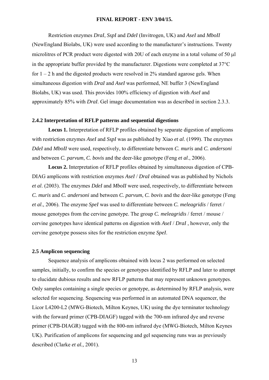Restriction enzymes *DraI*, *SspI* and *DdeI* (Invitrogen, UK) and *AseI* and *MboII*  (NewEngland Biolabs, UK) were used according to the manufacturer's instructions. Twenty microlitres of PCR product were digested with 20U of each enzyme in a total volume of 50 μl in the appropriate buffer provided by the manufacturer. Digestions were completed at 37°C for  $1 - 2$  h and the digested products were resolved in 2% standard agarose gels. When simultaneous digestion with *DraI* and *AseI* was performed, NE buffer 3 (NewEngland Biolabs, UK) was used. This provides 100% efficiency of digestion with *AseI* and approximately 85% with *DraI*. Gel image documentation was as described in section 2.3.3.

## **2.4.2 Interpretation of RFLP patterns and sequential digestions**

 **Locus 1.** Interpretation of RFLP profiles obtained by separate digestion of amplicons with restriction enzymes *AseI* and *SspI* was as published by Xiao *et al*. (1999). The enzymes *DdeI* and *MboII* were used, respectively, to differentiate between *C. muris* and *C. andersoni* and between *C. parvum*, *C. bovis* and the deer-like genotype (Feng *et al*., 2006).

 **Locus 2.** Interpretation of RFLP profiles obtained by simultaneous digestion of CPB-DIAG amplicons with restriction enzymes *AseI* / *DraI* obtained was as published by Nichols *et al*. (2003). The enzymes *DdeI* and *MboII* were used, respectively, to differentiate between *C. muris* and *C. andersoni* and between *C. parvum*, *C. bovis* and the deer-like genotype (Feng *et al*., 2006). The enzyme *SpeI* was used to differentiate between *C. meleagridis* / ferret / mouse genotypes from the cervine genotype. The group *C. meleagridis* / ferret / mouse / cervine genotypes have identical patterns on digestion with *AseI* / *DraI* , however, only the cervine genotype possess sites for the restriction enzyme *SpeI*.

## **2.5 Amplicon sequencing**

 Sequence analysis of amplicons obtained with locus 2 was performed on selected samples, initially, to confirm the species or genotypes identified by RFLP and later to attempt to elucidate dubious results and new RFLP patterns that may represent unknown genotypes. Only samples containing a single species or genotype, as determined by RFLP analysis, were selected for sequencing. Sequencing was performed in an automated DNA sequencer, the Licor L4200-L2 (MWG-Biotech, Milton Keynes, UK) using the dye terminator technology with the forward primer (CPB-DIAGF) tagged with the 700-nm infrared dye and reverse primer (CPB-DIAGR) tagged with the 800-nm infrared dye (MWG-Biotech, Milton Keynes UK). Purification of amplicons for sequencing and gel sequencing runs was as previously described (Clarke *et al.,* 2001).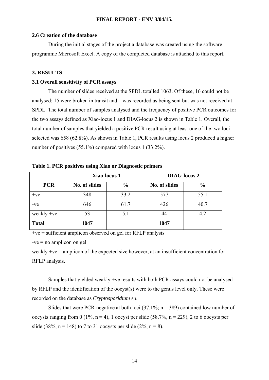## **2.6 Creation of the database**

 During the initial stages of the project a database was created using the software programme Microsoft Excel. A copy of the completed database is attached to this report.

## **3. RESULTS**

## **3.1 Overall sensitivity of PCR assays**

 The number of slides received at the SPDL totalled 1063. Of these, 16 could not be analysed; 15 were broken in transit and 1 was recorded as being sent but was not received at SPDL. The total number of samples analysed and the frequency of positive PCR outcomes for the two assays defined as Xiao-locus 1 and DIAG-locus 2 is shown in Table 1. Overall, the total number of samples that yielded a positive PCR result using at least one of the two loci selected was 658 (62.8%). As shown in Table 1, PCR results using locus 2 produced a higher number of positives (55.1%) compared with locus 1 (33.2%).

|              | Xiao-locus 1  |               | <b>DIAG-locus 2</b> |               |  |
|--------------|---------------|---------------|---------------------|---------------|--|
| <b>PCR</b>   | No. of slides | $\frac{6}{6}$ | No. of slides       | $\frac{6}{9}$ |  |
| $+ve$        | 348           | 33.2          | 577                 | 55.1          |  |
| $-ve$        | 646           | 61.7          | 426                 | 40.7          |  |
| weakly $+ve$ | 53            | 5.1           | 44                  | 4.2           |  |
| <b>Total</b> | 1047          |               | 1047                |               |  |

**Table 1. PCR positives using Xiao or Diagnostic primers** 

 $+ve =$  sufficient amplicon observed on gel for RFLP analysis

 $-ve = no$  amplicon on gel

weakly +ve = amplicon of the expected size however, at an insufficient concentration for RFLP analysis.

 Samples that yielded weakly +ve results with both PCR assays could not be analysed by RFLP and the identification of the oocyst(s) were to the genus level only. These were recorded on the database as *Cryptosporidium* sp.

Slides that were PCR-negative at both loci  $(37.1\%; n = 389)$  contained low number of oocysts ranging from 0 (1%,  $n = 4$ ), 1 oocyst per slide (58.7%,  $n = 229$ ), 2 to 6 oocysts per slide (38%,  $n = 148$ ) to 7 to 31 oocysts per slide (2%,  $n = 8$ ).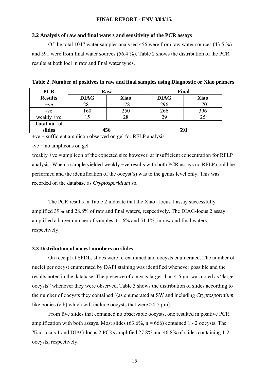## **3.2 Analysis of raw and final waters and sensitivity of the PCR assays**

 Of the total 1047 water samples analysed 456 were from raw water sources (43.5 %) and 591 were from final water sources (56.4 %). Table 2 shows the distribution of the PCR results at both loci in raw and final water types.

| <b>PCR</b>     | Raw         |             | Final       |             |
|----------------|-------------|-------------|-------------|-------------|
| <b>Results</b> | <b>DIAG</b> | <b>Xiao</b> | <b>DIAG</b> | <b>Xiao</b> |
| $+ve$          | 281         | 178         | 296         | 170         |
| $-ve$          | 160         | 250         | 266         | 396         |
| weakly $+ve$   |             | 28          | 29          |             |
| Total no. of   |             |             |             |             |
| slides         | 456         |             | 591         |             |

 $+ve$  = sufficient amplicon observed on gel for RFLP analysis

-ve = no amplicons on gel

weakly +ve = amplicon of the expected size however, at insufficient concentration for RFLP analysis. When a sample yielded weakly +ve results with both PCR assays no RFLP could be performed and the identification of the oocyst(s) was to the genus level only. This was recorded on the database as *Cryptosporidium* sp.

 The PCR results in Table 2 indicate that the Xiao –locus 1 assay successfully amplified 39% and 28.8% of raw and final waters, respectively. The DIAG-locus 2 assay amplified a larger number of samples, 61.6% and 51.1%, in raw and final waters, respectively.

## **3.3 Distribution of oocyst numbers on slides**

 On receipt at SPDL, slides were re-examined and oocysts enumerated. The number of nuclei per oocyst enumerated by DAPI staining was identified whenever possible and the results noted in the database. The presence of oocysts larger than 4-5 μm was noted as "large oocysts" whenever they were observed. Table 3 shows the distribution of slides according to the number of oocysts they contained [(as enumerated at SW and including *Cryptosporidium* like bodies (clb) which will include oocysts that were >4-5 μm].

 From five slides that contained no observable oocysts, one resulted in positive PCR amplification with both assays. Most slides  $(63.6\% \text{ n} = 666)$  contained 1 - 2 oocysts. The Xiao-locus 1 and DIAG-locus 2 PCRs amplified 27.8% and 46.8% of slides containing 1-2 oocysts, respectively.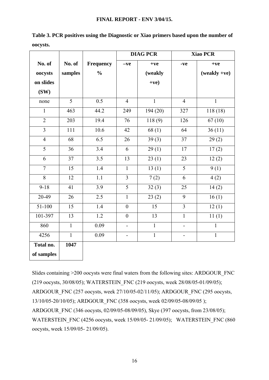|                |                |                  |                          | <b>DIAG PCR</b> |                              | <b>Xiao PCR</b> |
|----------------|----------------|------------------|--------------------------|-----------------|------------------------------|-----------------|
| No. of         | No. of         | <b>Frequency</b> | $-ve$                    | $+ve$           | -ve                          | $+ve$           |
| oocysts        | samples        | $\frac{0}{0}$    |                          | (weakly         |                              | $(weakly +ve)$  |
| on slides      |                |                  |                          | $+ve)$          |                              |                 |
| (SW)           |                |                  |                          |                 |                              |                 |
| none           | $\overline{5}$ | 0.5              | $\overline{4}$           | $\mathbf{1}$    | $\overline{4}$               | $\mathbf{1}$    |
| 1              | 463            | 44.2             | 249                      | 194(20)         | 327                          | 118(18)         |
| $\overline{2}$ | 203            | 19.4             | 76                       | 118(9)          | 126                          | 67(10)          |
| $\overline{3}$ | 111            | 10.6             | 42                       | 68(1)           | 64                           | 36(11)          |
| $\overline{4}$ | 68             | 6.5              | 26                       | 39(3)           | 37                           | 29(2)           |
| 5              | 36             | 3.4              | 6                        | 29(1)           | 17                           | 17(2)           |
| 6              | 37             | 3.5              | 13                       | 23(1)           | 23                           | 12(2)           |
| $\overline{7}$ | 15             | 1.4              | $\mathbf{1}$             | 13(1)           | 5                            | 9(1)            |
| $\overline{8}$ | 12             | $\overline{1.1}$ | $\overline{3}$           | 7(2)            | 6                            | 4(2)            |
| $9 - 18$       | 41             | 3.9              | 5                        | 32(3)           | 25                           | 14(2)           |
| $20 - 49$      | 26             | 2.5              | $\mathbf{1}$             | 23(2)           | 9                            | 16(1)           |
| 51-100         | 15             | 1.4              | $\boldsymbol{0}$         | 15              | $\overline{3}$               | 12(1)           |
| 101-397        | 13             | 1.2              | $\overline{0}$           | 13              | $\mathbf{1}$                 | 11(1)           |
| 860            | $\mathbf{1}$   | 0.09             | $\blacksquare$           | $\mathbf{1}$    | $\qquad \qquad \blacksquare$ | $\mathbf{1}$    |
| 4256           | $\mathbf{1}$   | 0.09             | $\overline{\phantom{0}}$ | $\mathbf{1}$    | -                            | $\mathbf{1}$    |
| Total no.      | 1047           |                  |                          |                 |                              |                 |
| of samples     |                |                  |                          |                 |                              |                 |

**Table 3. PCR positives using the Diagnostic or Xiao primers based upon the number of oocysts.** 

Slides containing >200 oocysts were final waters from the following sites: ARDGOUR\_FNC (219 oocysts, 30/08/05); WATERSTEIN\_FNC (219 oocysts, week 28/08/05-01/09/05); ARDGOUR\_FNC (257 oocysts, week 27/10/05-02/11/05); ARDGOUR\_FNC (295 oocysts, 13/10/05-20/10/05); ARDGOUR\_FNC (358 oocysts, week 02/09/05-08/09/05 ); ARDGOUR\_FNC (346 oocysts, 02/09/05-08/09/05), Skye (397 oocysts, from 23/08/05); WATERSTEIN\_FNC (4256 oocysts, week 15/09/05- 21/09/05); WATERSTEIN\_FNC (860) oocysts, week 15/09/05- 21/09/05).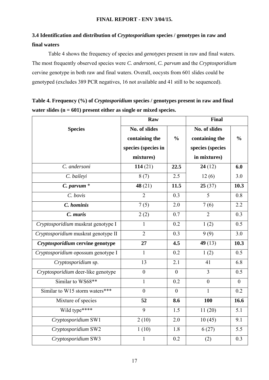## **3.4 Identification and distribution of** *Cryptosporidium* **species / genotypes in raw and final waters**

 Table 4 shows the frequency of species and *genotypes* present in raw and final waters. The most frequently observed species were *C. andersoni*, *C. parvum* and the *Cryptosporidium* cervine genotype in both raw and final waters. Overall, oocysts from 601 slides could be genotyped (excludes 389 PCR negatives, 16 not available and 41 still to be sequenced).

**Table 4. Frequency (%) of** *Cryptosporidium* **species / genotypes present in raw and final water slides (n = 601) present either as single or mixed species.** 

|                                     | Raw                 |                | Final            |                  |  |
|-------------------------------------|---------------------|----------------|------------------|------------------|--|
| <b>Species</b>                      | No. of slides       |                | No. of slides    |                  |  |
|                                     | containing the      | $\frac{0}{0}$  | containing the   | $\frac{0}{0}$    |  |
|                                     | species (species in |                | species (species |                  |  |
|                                     | mixtures)           |                | in mixtures)     |                  |  |
| C. andersoni                        | 114(21)             | 22.5           | 24(12)           | 6.0              |  |
| C. baileyi                          | 8(7)                | 2.5            | 12(6)            | 3.0              |  |
| $C.$ parvum $*$                     | 48 $(21)$           | 11.5           | 25(37)           | 10.3             |  |
| C. bovis                            | $\overline{2}$      | 0.3            | 5                | 0.8              |  |
| C. hominis                          | 7(5)                | 2.0            | 7(6)             | 2.2              |  |
| C. muris                            | 2(2)                | 0.7            | $\overline{2}$   | 0.3              |  |
| Cryptosporidium muskrat genotype I  | 1                   | 0.2            | 1(2)             | 0.5              |  |
| Cryptosporidium muskrat genotype II | $\overline{2}$      | 0.3            | 9(9)             | 3.0              |  |
| Cryptosporidium cervine genotype    | 27                  | 4.5            | 49 $(13)$        | 10.3             |  |
| Cryptosporidium opossum genotype I  | $\mathbf{1}$        | 0.2            | 1(2)             | 0.5              |  |
| Cryptosporidium sp.                 | 13                  | 2.1            | 41               | 6.8              |  |
| Cryptosporidium deer-like genotype  | $\overline{0}$      | $\theta$       | $\overline{3}$   | $\overline{0.5}$ |  |
| Similar to WS68**                   | $\mathbf{1}$        | 0.2            | $\overline{0}$   | $\overline{0}$   |  |
| Similar to W15 storm waters***      | $\overline{0}$      | $\overline{0}$ | 1                | 0.2              |  |
| Mixture of species                  | 52                  | 8.6            | 100              | 16.6             |  |
| Wild type****                       | 9                   | 1.5            | 11(20)           | 5.1              |  |
| Cryptosporidium SW1                 | 2(10)               | 2.0            | 10(45)           | 9.1              |  |
| Cryptosporidium SW2                 | 1(10)               | 1.8            | 6(27)            | 5.5              |  |
| Cryptosporidium SW3                 | $\mathbf{1}$        | 0.2            | (2)              | 0.3              |  |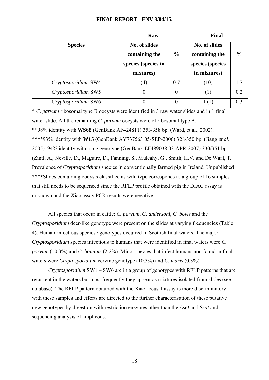|                     | Raw                                                                 |               | Final                                                               |               |
|---------------------|---------------------------------------------------------------------|---------------|---------------------------------------------------------------------|---------------|
| <b>Species</b>      | No. of slides<br>containing the<br>species (species in<br>mixtures) | $\frac{6}{9}$ | No. of slides<br>containing the<br>species (species<br>in mixtures) | $\frac{6}{6}$ |
| Cryptosporidium SW4 | $\left( 4\right)$                                                   | 0.7           | (10)                                                                | 1.7           |
| Cryptosporidium SW5 | $\theta$                                                            | $\theta$      | (1)                                                                 | 0.2           |
| Cryptosporidium SW6 | $\theta$                                                            | $\theta$      |                                                                     | 0.3           |

\* *C. parvum* ribosomal type B oocysts were identified in 3 raw water slides and in 1 final water slide. All the remaining *C. parvum* oocysts were of ribosomal type A. \*\*98% identity with **WS68** (GenBank AF424811) 353/358 bp. (Ward, et al., 2002). \*\*\*\*93% identity with **W15** (GenBank AY737563 05-SEP-2006) 328/350 bp. (Jiang *et al*., 2005). 94% identity with a pig genotype (GenBank EF489038 03-APR-2007) 330/351 bp. (Zintl, A., Neville, D., Maguire, D., Fanning, S., Mulcahy, G., Smith, H.V. and De Waal, T. Prevalence of *Cryptosporidium* species in conventionally farmed pig in Ireland. Unpublished \*\*\*\*Slides containing oocysts classified as wild type corresponds to a group of 16 samples that still needs to be sequenced since the RFLP profile obtained with the DIAG assay is unknown and the Xiao assay PCR results were negative.

 All species that occur in cattle: *C. parvum*, *C. andersoni*, *C. bovis* and the *Cryptosporidium* deer-like genotype were present on the slides at varying frequencies (Table 4). Human-infectious species / genotypes occurred in Scottish final waters. The major *Cryptosporidium* species infectious to humans that were identified in final waters were *C. parvum* (10.3%) and *C. hominis* (2.2%). Minor species that infect humans and found in final waters were *Cryptosporidium* cervine genotype (10.3%) and *C. muris* (0.3%).

 *Cryptosporidium* SW1 – SW6 are in a group of genotypes with RFLP patterns that are recurrent in the waters but most frequently they appear as mixtures isolated from slides (see database). The RFLP pattern obtained with the Xiao-locus 1 assay is more discriminatory with these samples and efforts are directed to the further characterisation of these putative new genotypes by digestion with restriction enzymes other than the *AseI* and *SspI* and sequencing analysis of amplicons.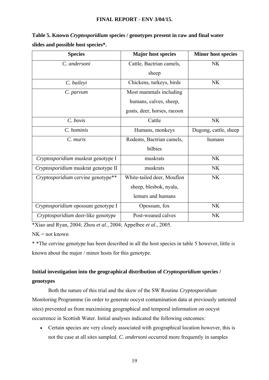| <b>Species</b>                      | <b>Major host species</b>   | <b>Minor host species</b> |
|-------------------------------------|-----------------------------|---------------------------|
| C. andersoni                        | Cattle, Bactrian camels,    | <b>NK</b>                 |
|                                     | sheep                       |                           |
| C. baileyi                          | Chickens, turkeys, birds    | <b>NK</b>                 |
| C. parvum                           | Most mammals including      |                           |
|                                     | humans, calves, sheep,      |                           |
|                                     | goats, deer, horses, racoon |                           |
| C. bovis                            | Cattle                      | <b>NK</b>                 |
| C. hominis                          | Humans, monkeys             | Dugong, cattle, sheep     |
| C. muris                            | Rodents, Bactrian camels,   | humans                    |
|                                     | bilbies                     |                           |
| Cryptosporidium muskrat genotype I  | muskrats                    | <b>NK</b>                 |
| Cryptosporidium muskrat genotype II | muskrats                    | <b>NK</b>                 |
| Cryptosporidium cervine genotype**  | White-tailed deer, Mouflon  | <b>NK</b>                 |
|                                     | sheep, blesbok, nyala,      |                           |
|                                     | lemurs and humans           |                           |
| Cryptosporidium opossum genotype I  | Opossum, fox                | <b>NK</b>                 |
| Cryptosporidium deer-like genotype  | Post-weaned calves          | <b>NK</b>                 |

**Table 5. Known** *Cryptosporidium* **species / genotypes present in raw and final water slides and possible host species\*.** 

\*Xiao and Ryan, 2004; Zhou *et al*., 2004; Appelbee *et al*., 2005.

 $NK = not known$ 

\* \*The cervine genotype has been described in all the host species in table 5 however, little is known about the major / minor hosts for this genotype.

## **Initial investigation into the geographical distribution of** *Cryptosporidium* **species / genotypes**

 Both the nature of this trial and the skew of the SW Routine *Cryptosporidium* Monitoring Programme (in order to generate oocyst contamination data at previously untested sites) prevented us from maximising geographical and temporal information on oocyst occurrence in Scottish Water. Initial analyses indicated the following outcomes:

• Certain species are very closely associated with geographical location however, this is not the case at all sites sampled. *C. andersoni* occurred more frequently in samples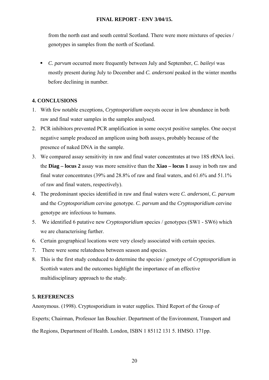from the north east and south central Scotland. There were more mixtures of species / genotypes in samples from the north of Scotland.

 *C. parvum* occurred more frequently between July and September, *C. baileyi* was mostly present during July to December and *C. andersoni* peaked in the winter months before declining in number.

## **4. CONCLUSIONS**

- 1. With few notable exceptions, *Cryptosporidium* oocysts occur in low abundance in both raw and final water samples in the samples analysed.
- 2. PCR inhibitors prevented PCR amplification in some oocyst positive samples. One oocyst negative sample produced an amplicon using both assays, probably because of the presence of naked DNA in the sample.
- 3. We compared assay sensitivity in raw and final water concentrates at two 18S rRNA loci. the **Diag – locus 2** assay was more sensitive than the **Xiao – locus 1** assay in both raw and final water concentrates (39% and 28.8% of raw and final waters, and 61.6% and 51.1% of raw and final waters, respectively).
- 4. The predominant species identified in raw and final waters were *C. andersoni*, *C. parvum* and the *Cryptosporidium* cervine genotype. *C. parvum* and the *Cryptosporidium* cervine genotype are infectious to humans.
- 5. We identified 6 putative new *Cryptosporidium* species / genotypes (SW1 SW6) which we are characterising further.
- 6. Certain geographical locations were very closely associated with certain species.
- 7. There were some relatedness between season and species.
- 8. This is the first study conduced to determine the species / genotype of *Cryptosporidium* in Scottish waters and the outcomes highlight the importance of an effective multidisciplinary approach to the study.

## **5. REFERENCES**

Anonymous. (1998). Cryptosporidium in water supplies. Third Report of the Group of Experts; Chairman, Professor Ian Bouchier. Department of the Environment, Transport and the Regions, Department of Health. London, ISBN 1 85112 131 5. HMSO. 171pp.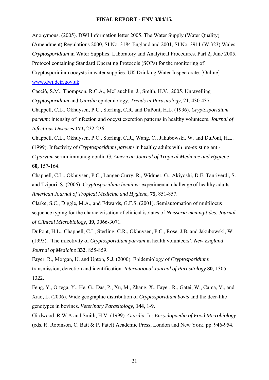Anonymous. (2005). DWI Information letter 2005. The Water Supply (Water Quality) (Amendment) Regulations 2000, SI No. 3184 England and 2001, SI No. 3911 (W.323) Wales: *Cryptosporidium* in Water Supplies: Laboratory and Analytical Procedures. Part 2, June 2005. Protocol containing Standard Operating Protocols (SOPs) for the monitoring of Cryptosporidium oocysts in water supplies. UK Drinking Water Inspectorate. [Online] [www.dwi.detr.gov.uk](http://www.dwi.detr.gov.uk/)

Cacciò, S.M., Thompson, R.C.A., McLauchlin, J., Smith, H.V., 2005. Unravelling *Cryptosporidium* and *Giardia* epidemiology. *Trends in Parasitology*, 21, 430-437.

Chappell, C.L., Okhuysen, P.C., Sterling, C.R. and DuPont, H.L. (1996). *Cryptosporidium parvum*: intensity of infection and oocyst excretion patterns in healthy volunteers. *Journal of Infectious Diseases* **173,** 232-236.

Chappell, C.L., Okhuysen, P.C., Sterling, C.R., Wang, C., Jakubowski, W. and DuPont, H.L. (1999). Infectivity of *Cryptosporidium parvum* in healthy adults with pre-existing anti-*C.parvum* serum immunoglobulin G. *American Journal of Tropical Medicine and Hygiene* **60,** 157-164.

Chappell, C.L., Okhuysen, P.C., Langer-Curry, R., Widmer, G., Akiyoshi, D.E. Tanriverdi, S. and Tzipori, S. (2006). *Cryptosporidium hominis:* experimental challenge of healthy adults. *American Journal of Tropical Medicine and Hygiene*, **75,** 851-857.

Clarke, S.C., Diggle, M.A., and Edwards, G.F.S. (2001). Semiautomation of multilocus sequence typing for the characterisation of clinical isolates of *Neisseria meningitides*. *Journal of Clinical Microbiology*, **39**, 3066-3071.

DuPont, H.L., Chappell, C.L, Sterling, C.R., Okhuysen, P.C., Rose, J.B. and Jakubowski, W. (1995). 'The infectivity of *Cryptosporidium parvum* in health volunteers'. *New England Journal of Medicine* **332**, 855-859.

Fayer, R., Morgan, U. and Upton, S.J. (2000). Epidemiology of *Cryptosporidium*: transmission, detection and identification. *International Journal of Parasitology* **30**, 1305- 1322.

Feng, Y., Ortega, Y., He, G., Das, P., Xu, M., Zhang, X., Fayer, R., Gatei, W., Cama, V., and Xiao, L. (2006). Wide geographic distribution of *Cryptosporidium bovis* and the deer-like genotypes in bovines. *Veterinary Parasitology*, **144**, 1-9.

Girdwood, R.W.A and Smith, H.V. (1999). *Giardia*. In: *Encyclopaedia of Food Microbiology* (eds. R. Robinson, C. Batt & P. Patel) Academic Press, London and New York. pp. 946-954.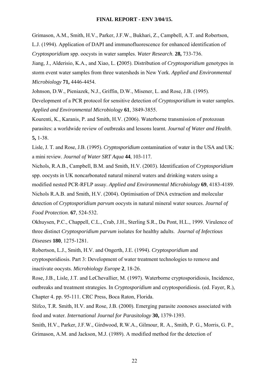Grimason, A.M., Smith, H.V., Parker, J.F.W., Bukhari, Z., Campbell, A.T. and Robertson, L.J. (1994). Application of DAPI and immunofluorescence for enhanced identification of *Cryptosporidium* spp. oocysts in water samples. *Water Research*. **28,** 733-736.

Jiang, J., Alderisio, K.A., and Xiao, L. **(**2005). Distribution of *Cryptosporidium* genotypes in storm event water samples from three watersheds in New York. *Applied and Environmental Microbiology* **71,** 4446-4454.

Johnson, D.W., Pieniazek, N.J., Griffin, D.W., Misener, L. and Rose, J.B. (1995).

Development of a PCR protocol for sensitive detection of *Cryptosporidium* in water samples. *Applied and Environmental Microbiology* **61**, 3849-3855.

Kourenti, K., Karanis, P. and Smith, H.V. (2006). Waterborne transmission of protozoan parasites: a worldwide review of outbreaks and lessons learnt. *Journal of Water and Health*. **5,** 1-38.

Lisle, J. T. and Rose, J.B. (1995). *Cryptosporidium* contamination of water in the USA and UK: a mini review. *Journal of Water SRT Aqua* **44**, 103-117.

Nichols, R.A.B., Campbell, B.M. and Smith, H.V. (2003). Identification of *Cryptosporidium*  spp. oocysts in UK noncarbonated natural mineral waters and drinking waters using a modified nested PCR-RFLP assay. *Applied and Environmental Microbiology* **69**, 4183-4189. Nichols R.A.B. and Smith, H.V. (2004). Optimisation of DNA extraction and molecular detection of *Cryptosporidium parvum* oocysts in natural mineral water sources. *Journal of Food Protection*. **67**, 524-532.

Okhuysen, P.C., Chappell, C.L., Crab, J.H., Sterling S.R., Du Pont, H.L., 1999. Virulence of three distinct *Cryptosporidium parvum* isolates for healthy adults. *Journal of Infectious Diseases* **180**, 1275-1281.

Robertson, L.J., Smith, H.V. and Ongerth, J.E. (1994). *Cryptosporidium* and cryptosporidiosis. Part 3: Development of water treatment technologies to remove and inactivate oocysts. *Microbiology Europe* **2**, 18-26.

Rose, J.B., Lisle, J.T. and LeChevallier, M. (1997). Waterborne cryptosporidiosis, Incidence, outbreaks and treatment strategies. In *Cryptosporidium* and cryptosporidiosis. (ed. Fayer, R.), Chapter 4. pp. 95-111. CRC Press, Boca Raton, Florida.

Slifco, T.R. Smith, H.V. and Rose, J.B. (2000). Emerging parasite zoonoses associated with food and water. *International Journal for Parasitology* **30,** 1379-1393.

Smith, H.V., Parker, J.F.W., Girdwood, R.W.A., Gilmour, R. A., Smith, P. G., Morris, G. P., Grimason, A.M. and Jackson, M.J. (1989). A modified method for the detection of